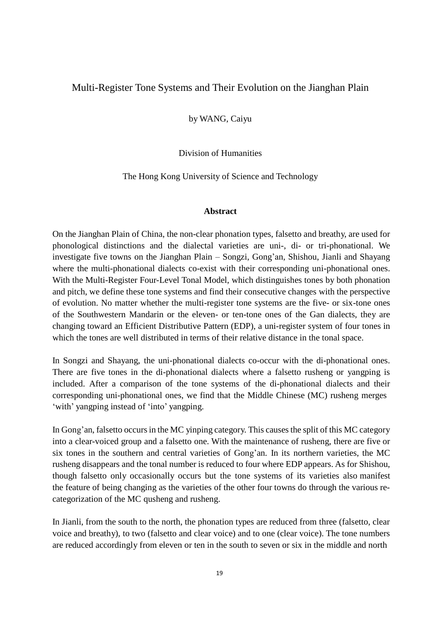## Multi-Register Tone Systems and Their Evolution on the Jianghan Plain

by WANG, Caiyu

Division of Humanities

The Hong Kong University of Science and Technology

## **Abstract**

On the Jianghan Plain of China, the non-clear phonation types, falsetto and breathy, are used for phonological distinctions and the dialectal varieties are uni-, di- or tri-phonational. We investigate five towns on the Jianghan Plain – Songzi, Gong'an, Shishou, Jianli and Shayang where the multi-phonational dialects co-exist with their corresponding uni-phonational ones. With the Multi-Register Four-Level Tonal Model, which distinguishes tones by both phonation and pitch, we define these tone systems and find their consecutive changes with the perspective of evolution. No matter whether the multi-register tone systems are the five- or six-tone ones of the Southwestern Mandarin or the eleven- or ten-tone ones of the Gan dialects, they are changing toward an Efficient Distributive Pattern (EDP), a uni-register system of four tones in which the tones are well distributed in terms of their relative distance in the tonal space.

In Songzi and Shayang, the uni-phonational dialects co-occur with the di-phonational ones. There are five tones in the di-phonational dialects where a falsetto rusheng or yangping is included. After a comparison of the tone systems of the di-phonational dialects and their corresponding uni-phonational ones, we find that the Middle Chinese (MC) rusheng merges 'with' yangping instead of 'into' yangping.

In Gong'an, falsetto occurs in the MC yinping category. This causes the split of this MC category into a clear-voiced group and a falsetto one. With the maintenance of rusheng, there are five or six tones in the southern and central varieties of Gong'an. In its northern varieties, the MC rusheng disappears and the tonal number is reduced to four where EDP appears. As for Shishou, though falsetto only occasionally occurs but the tone systems of its varieties also manifest the feature of being changing as the varieties of the other four towns do through the various recategorization of the MC qusheng and rusheng.

In Jianli, from the south to the north, the phonation types are reduced from three (falsetto, clear voice and breathy), to two (falsetto and clear voice) and to one (clear voice). The tone numbers are reduced accordingly from eleven or ten in the south to seven or six in the middle and north